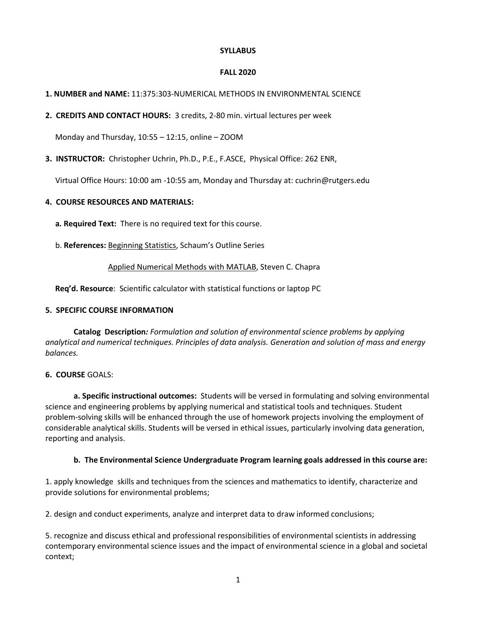### **SYLLABUS**

## **FALL 2020**

# **1. NUMBER and NAME:** 11:375:303-NUMERICAL METHODS IN ENVIRONMENTAL SCIENCE

**2. CREDITS AND CONTACT HOURS:** 3 credits, 2-80 min. virtual lectures per week

Monday and Thursday, 10:55 – 12:15, online – ZOOM

**3. INSTRUCTOR:** Christopher Uchrin, Ph.D., P.E., F.ASCE, Physical Office: 262 ENR,

Virtual Office Hours: 10:00 am -10:55 am, Monday and Thursday at: cuchrin@rutgers.edu

# **4. COURSE RESOURCES AND MATERIALS:**

 **a. Required Text:** There is no required text for this course.

b. **References:** Beginning Statistics, Schaum's Outline Series

# Applied Numerical Methods with MATLAB, Steven C. Chapra

**Req'd. Resource**: Scientific calculator with statistical functions or laptop PC

## **5. SPECIFIC COURSE INFORMATION**

**Catalog Description***: Formulation and solution of environmental science problems by applying analytical and numerical techniques. Principles of data analysis. Generation and solution of mass and energy balances.*

## **6. COURSE** GOALS:

**a. Specific instructional outcomes:** Students will be versed in formulating and solving environmental science and engineering problems by applying numerical and statistical tools and techniques. Student problem-solving skills will be enhanced through the use of homework projects involving the employment of considerable analytical skills. Students will be versed in ethical issues, particularly involving data generation, reporting and analysis.

## **b. The Environmental Science Undergraduate Program learning goals addressed in this course are:**

1. apply knowledge skills and techniques from the sciences and mathematics to identify, characterize and provide solutions for environmental problems;

2. design and conduct experiments, analyze and interpret data to draw informed conclusions;

5. recognize and discuss ethical and professional responsibilities of environmental scientists in addressing contemporary environmental science issues and the impact of environmental science in a global and societal context;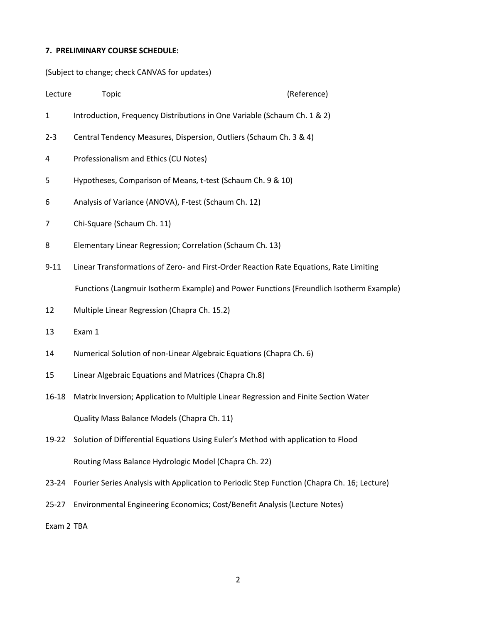# **7. PRELIMINARY COURSE SCHEDULE:**

(Subject to change; check CANVAS for updates)

| Lecture    | Topic                                                                                       | (Reference) |
|------------|---------------------------------------------------------------------------------------------|-------------|
| 1          | Introduction, Frequency Distributions in One Variable (Schaum Ch. 1 & 2)                    |             |
| $2 - 3$    | Central Tendency Measures, Dispersion, Outliers (Schaum Ch. 3 & 4)                          |             |
| 4          | Professionalism and Ethics (CU Notes)                                                       |             |
| 5          | Hypotheses, Comparison of Means, t-test (Schaum Ch. 9 & 10)                                 |             |
| 6          | Analysis of Variance (ANOVA), F-test (Schaum Ch. 12)                                        |             |
| 7          | Chi-Square (Schaum Ch. 11)                                                                  |             |
| 8          | Elementary Linear Regression; Correlation (Schaum Ch. 13)                                   |             |
| $9 - 11$   | Linear Transformations of Zero- and First-Order Reaction Rate Equations, Rate Limiting      |             |
|            | Functions (Langmuir Isotherm Example) and Power Functions (Freundlich Isotherm Example)     |             |
| 12         | Multiple Linear Regression (Chapra Ch. 15.2)                                                |             |
| 13         | Exam 1                                                                                      |             |
| 14         | Numerical Solution of non-Linear Algebraic Equations (Chapra Ch. 6)                         |             |
| 15         | Linear Algebraic Equations and Matrices (Chapra Ch.8)                                       |             |
| 16-18      | Matrix Inversion; Application to Multiple Linear Regression and Finite Section Water        |             |
|            | Quality Mass Balance Models (Chapra Ch. 11)                                                 |             |
| 19-22      | Solution of Differential Equations Using Euler's Method with application to Flood           |             |
|            | Routing Mass Balance Hydrologic Model (Chapra Ch. 22)                                       |             |
| $23 - 24$  | Fourier Series Analysis with Application to Periodic Step Function (Chapra Ch. 16; Lecture) |             |
| $25 - 27$  | Environmental Engineering Economics; Cost/Benefit Analysis (Lecture Notes)                  |             |
| Exam 2 TBA |                                                                                             |             |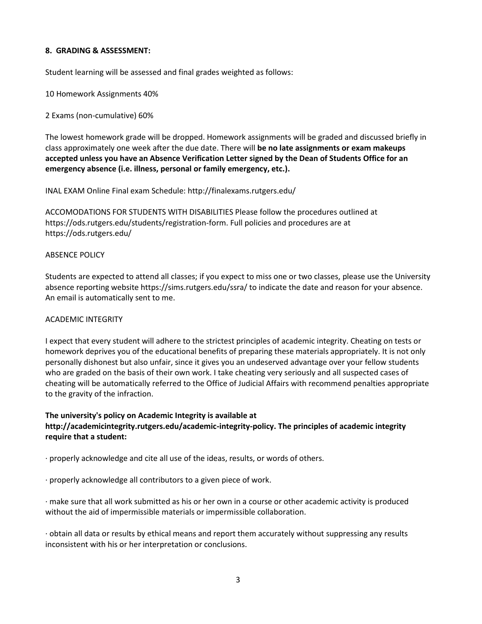### **8. GRADING & ASSESSMENT:**

Student learning will be assessed and final grades weighted as follows:

10 Homework Assignments 40%

2 Exams (non-cumulative) 60%

The lowest homework grade will be dropped. Homework assignments will be graded and discussed briefly in class approximately one week after the due date. There will **be no late assignments or exam makeups accepted unless you have an Absence Verification Letter signed by the Dean of Students Office for an emergency absence (i.e. illness, personal or family emergency, etc.).**

INAL EXAM Online Final exam Schedule: http://finalexams.rutgers.edu/

ACCOMODATIONS FOR STUDENTS WITH DISABILITIES Please follow the procedures outlined at https://ods.rutgers.edu/students/registration-form. Full policies and procedures are at https://ods.rutgers.edu/

### ABSENCE POLICY

Students are expected to attend all classes; if you expect to miss one or two classes, please use the University absence reporting website https://sims.rutgers.edu/ssra/ to indicate the date and reason for your absence. An email is automatically sent to me.

## ACADEMIC INTEGRITY

I expect that every student will adhere to the strictest principles of academic integrity. Cheating on tests or homework deprives you of the educational benefits of preparing these materials appropriately. It is not only personally dishonest but also unfair, since it gives you an undeserved advantage over your fellow students who are graded on the basis of their own work. I take cheating very seriously and all suspected cases of cheating will be automatically referred to the Office of Judicial Affairs with recommend penalties appropriate to the gravity of the infraction.

# **The university's policy on Academic Integrity is available at http://academicintegrity.rutgers.edu/academic-integrity-policy. The principles of academic integrity require that a student:**

· properly acknowledge and cite all use of the ideas, results, or words of others.

· properly acknowledge all contributors to a given piece of work.

· make sure that all work submitted as his or her own in a course or other academic activity is produced without the aid of impermissible materials or impermissible collaboration.

· obtain all data or results by ethical means and report them accurately without suppressing any results inconsistent with his or her interpretation or conclusions.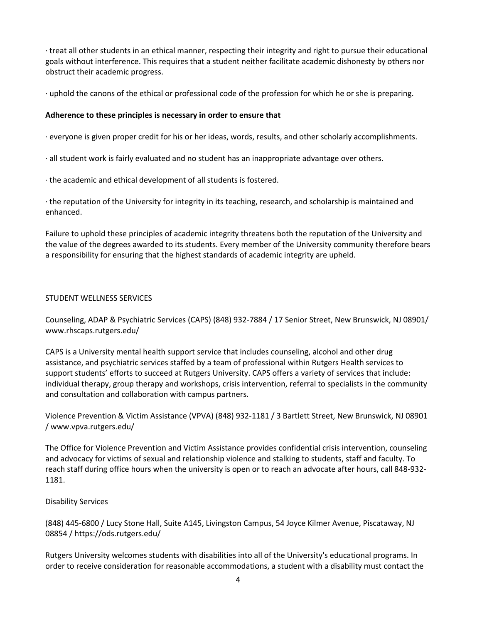· treat all other students in an ethical manner, respecting their integrity and right to pursue their educational goals without interference. This requires that a student neither facilitate academic dishonesty by others nor obstruct their academic progress.

· uphold the canons of the ethical or professional code of the profession for which he or she is preparing.

# **Adherence to these principles is necessary in order to ensure that**

· everyone is given proper credit for his or her ideas, words, results, and other scholarly accomplishments.

- · all student work is fairly evaluated and no student has an inappropriate advantage over others.
- · the academic and ethical development of all students is fostered.

· the reputation of the University for integrity in its teaching, research, and scholarship is maintained and enhanced.

Failure to uphold these principles of academic integrity threatens both the reputation of the University and the value of the degrees awarded to its students. Every member of the University community therefore bears a responsibility for ensuring that the highest standards of academic integrity are upheld.

# STUDENT WELLNESS SERVICES

Counseling, ADAP & Psychiatric Services (CAPS) (848) 932-7884 / 17 Senior Street, New Brunswick, NJ 08901/ www.rhscaps.rutgers.edu/

CAPS is a University mental health support service that includes counseling, alcohol and other drug assistance, and psychiatric services staffed by a team of professional within Rutgers Health services to support students' efforts to succeed at Rutgers University. CAPS offers a variety of services that include: individual therapy, group therapy and workshops, crisis intervention, referral to specialists in the community and consultation and collaboration with campus partners.

Violence Prevention & Victim Assistance (VPVA) (848) 932-1181 / 3 Bartlett Street, New Brunswick, NJ 08901 / www.vpva.rutgers.edu/

The Office for Violence Prevention and Victim Assistance provides confidential crisis intervention, counseling and advocacy for victims of sexual and relationship violence and stalking to students, staff and faculty. To reach staff during office hours when the university is open or to reach an advocate after hours, call 848-932- 1181.

## Disability Services

(848) 445-6800 / Lucy Stone Hall, Suite A145, Livingston Campus, 54 Joyce Kilmer Avenue, Piscataway, NJ 08854 / https://ods.rutgers.edu/

Rutgers University welcomes students with disabilities into all of the University's educational programs. In order to receive consideration for reasonable accommodations, a student with a disability must contact the